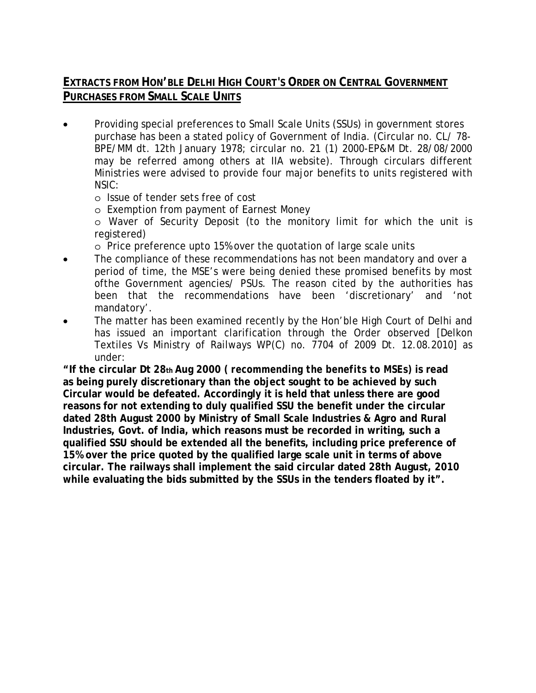## **EXTRACTS FROM HON'BLE DELHI HIGH COURT'S ORDER ON CENTRAL GOVERNMENT PURCHASES FROM SMALL SCALE UNITS**

- Providing special preferences to Small Scale Units (SSUs) in government stores purchase has been a stated policy of Government of India. (Circular no. CL/ 78- BPE/MM dt. 12th January 1978; circular no. 21 (1) 2000-EP&M Dt. 28/08/2000 may be referred among others at IIA website). Through circulars different Ministries were advised to provide four major benefits to units registered with NSIC:
	- o Issue of tender sets free of cost
	- o Exemption from payment of Earnest Money
	- o Waver of Security Deposit (to the monitory limit for which the unit is registered)
	- o Price preference upto 15% over the quotation of large scale units
- The compliance of these recommendations has not been mandatory and over a period of time, the MSE's were being denied these promised benefits by most ofthe Government agencies/ PSUs. The reason cited by the authorities has been that the recommendations have been 'discretionary' and 'not mandatory'.
- The matter has been examined recently by the Hon'ble High Court of Delhi and has issued an important clarification through the Order observed [Delkon Textiles Vs Ministry of Railways WP(C) no. 7704 of 2009 Dt. 12.08.2010] as under:

**"If the circular Dt 28th Aug 2000** *( recommending the benefits to MSEs)* **is read as being purely discretionary than the object sought to be achieved by such Circular would be defeated. Accordingly it is held that unless there are good reasons for not extending to duly qualified SSU the benefit under the circular dated 28th August 2000 by Ministry of Small Scale Industries & Agro and Rural Industries, Govt. of India, which reasons must be recorded in writing, such a qualified SSU should be extended all the benefits, including price preference of 15% over the price quoted by the qualified large scale unit in terms of above circular. The railways shall implement the said circular dated 28th August, 2010 while evaluating the bids submitted by the SSUs in the tenders floated by it".**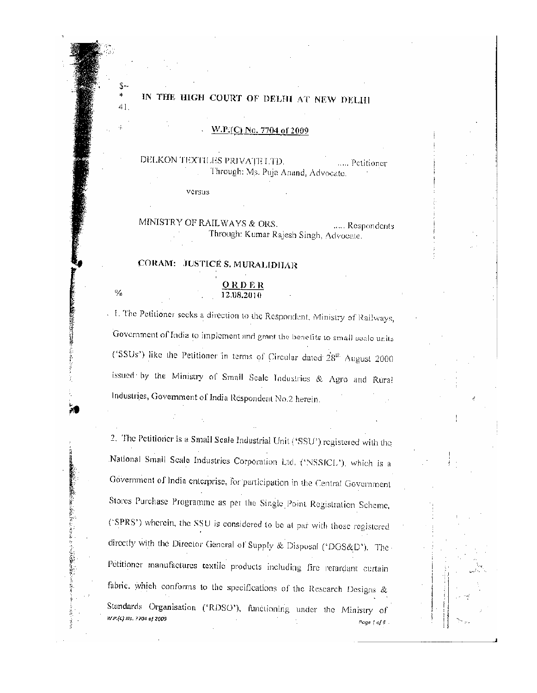## IN THE HIGH COURT OF DELHI AT NEW DELHI

\$

41.

 $\frac{9}{6}$ 

**あかい スパーパルの種** 

W.P.(C) No. 7704 of 2009

DELKON TEXTILES PRIVATE LTD. .... Petitioner Through: Ms. Puja Anand, Advocate.

MINISTRY OF RAILWAYS & ORS. ..... Respondents Through: Kumar Rajesh Singh, Advocate.

## CORAM: JUSTICE S. MURALIDHAR

versus

## ORDER 12.08.2010

. 1. The Petitioner seeks a direction to the Respondent, Ministry of Railways, Government of India to implement and grant the benefits to small scale units ('SSUs') like the Petitioner in terms of Circular dated 28<sup>th</sup> August 2000 issued by the Ministry of Small Scale Industries & Agro and Rural Industries, Government of India Respondent No.2 herein.

2. The Petitioner is a Small Scale Industrial Unit ('SSU') registered with the National Small Scale Industries Corporation Ltd. ('NSSICL'), which is a Government of India enterprise, for participation in the Central Government Stores Purchase Programme as per the Single Point Registration Scheme, ('SPRS') wherein, the SSU is considered to be at par with those registered directly with the Director General of Supply & Disposal ('DGS&D'). The Petitioner manufactures textile products including fire retardant curtain fabric, which conforms to the specifications of the Research Designs & Standards Organisation ('RDSO'), functioning under the Ministry of W.P.(C) No. 7704 of 2009 Page | of 6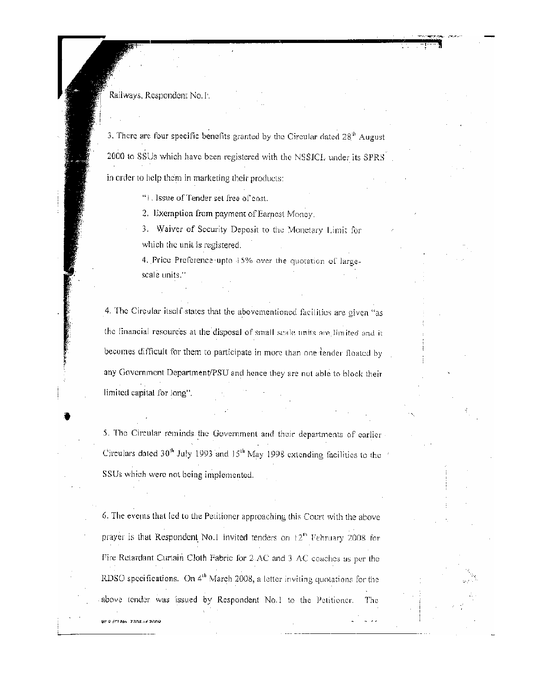Railways, Respondent No.1.

3. There are four specific benefits granted by the Circular dated  $28<sup>th</sup>$  August 2000 to SSUs which have been registered with the NSSICL under its SPRS in order to help them in marketing their products:

"1. Issue of Tender set free of cost.

2. Exemption from payment of Earnest Money.

3. Waiver of Security Deposit to the Monetary Limit for which the unit is registered.

4. Price Preference upto 15% over the quotation of largescale units."

4. The Circular itself states that the abovementioned facilities are given "as the financial resources at the disposal of small scale units are limited and it becomes difficult for them to participate in more than one tender floated by any Government Department/PSU and hence they are not able to block their limited capital for long".

5. The Circular reminds the Government and their departments of earlier Circulars dated  $30<sup>th</sup>$  July 1993 and  $15<sup>th</sup>$  May 1998 extending facilities to the SSUs which were not being implemented.

6. The events that led to the Petitioner approaching this Court with the above prayer is that Respondent No.1 invited tenders on 12<sup>th</sup> February 2008 for Fire Retardant Curtain Cloth Fabric for 2.AC and 3 AC coaches as per the RDSO specifications. On 4<sup>th</sup> March 2008, a letter inviting quotations for the above tender was issued by Respondent No.1 to the Petitioner. The

W.P. (Chain, 2204)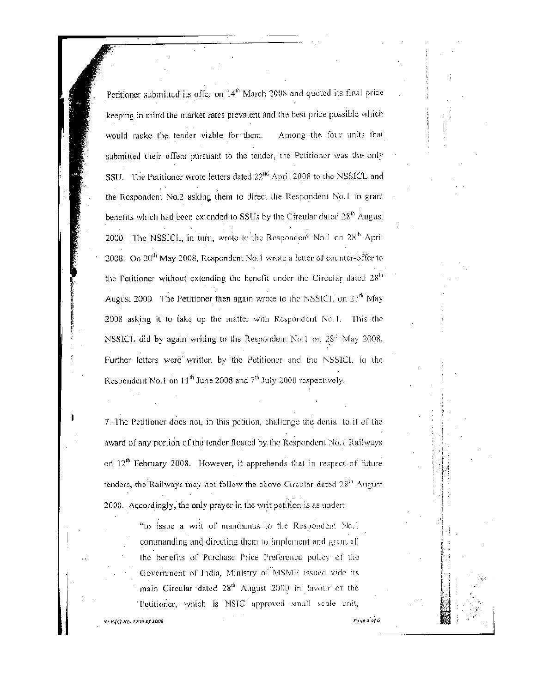Petitioner submitted its offer on 14<sup>th</sup> March 2008 and quoted its final price keeping in mind the market rates prevalent and the best price possible which would make the tender viable for them. Among the four units that submitted their offers pursuant to the tender, the Petitioner was the only SSU. The Petitioner wrote letters dated 22<sup>nd</sup> April 2008 to the NSSICL and the Respondent No.2 asking them to direct the Respondent No.1 to grant benefits which had been extended to SSUs by the Circular dated 28<sup>th</sup> August. 2000. The NSSICL, in turn, wrote to the Respondent No.1 on 28<sup>th</sup> April 2008. On 20<sup>th</sup> May 2008, Respondent No.1 wrote a letter of counter-offer to the Petitioner without extending the benefit under the Circular dated  $28<sup>th</sup>$ August 2000. The Petitioner then again wrote to the NSSICL on  $27<sup>th</sup>$  May 2008 asking it to take up the matter with Respondent No.1. This the NSSICL did by again writing to the Respondent No.1 on 28<sup>th</sup> May 2008. Further letters were written by the Petitioner and the NSSICL to the Respondent No.1 on  $11^{\text{th}}$  June 2008 and  $7^{\text{th}}$  July 2008 respectively.

7. The Petitioner does not, in this petition, challenge the denial to it of the award of any portion of the tender floated by the Respondent No. i Railways on 12<sup>th</sup> February 2008. However, it apprehends that in respect of future tenders, the Railways may not follow the above Circular dated 28<sup>th</sup> August. 2000. Accordingly, the only prayer in the writ petition is as under:

> "to issue a writ of mandamus to the Respondent No.1 commanding and directing them to implement and grant all the benefits of Purchase Price Preference policy of the Government of India, Ministry of MSME issued vide its main Circular dated 28<sup>th</sup> August 2000 in favour of the Petitioner, which is NSIC approved small scale unit,

W.P.(C) No. 7704 of 2005

Page 3 of 6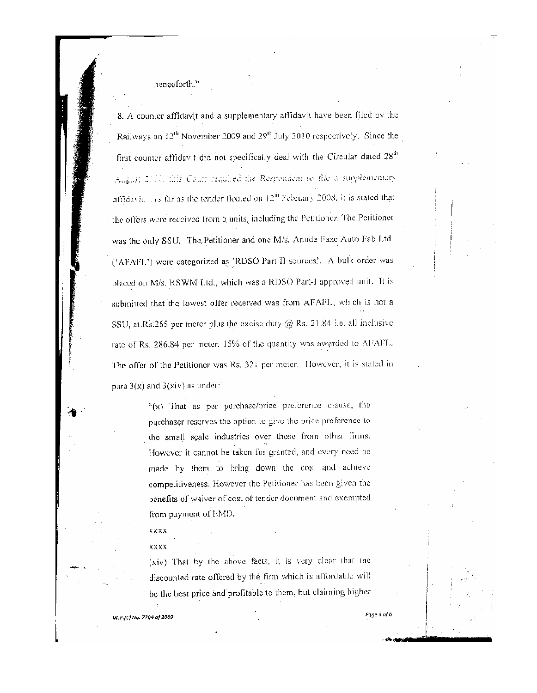henceforth."

8. A counter affidavit and a supplementary affidavit have been filed by the Railways on 12<sup>th</sup> November 2009 and 29<sup>th</sup> July 2010 respectively. Since the first counter affidavit did not specifically deal with the Circular dated 28<sup>th</sup> August 2010, this Court required the Respondent to file a supplementary affidavit. As far as the tender floated on  $12^{th}$  February 2008, it is stated that the offers were received from 5 units, including the Petitioner. The Petitioner was the only SSU. The Petitioner and one M/s. Anude Faze Auto Fab Ltd. ('AFAFL') were categorized as 'RDSO Part II sources'. A bulk order was placed on M/s. RSWM Ltd., which was a RDSO Part-I approved unit. It is submitted that the lowest offer received was from AFAFL, which is not a SSU, at Rs.265 per meter plus the excise duty  $@$  Rs. 21.84 i.e. all inclusive rate of Rs. 286.84 per meter. 15% of the quantity was awarded to AFAFL. The offer of the Petitioner was Rs. 32; per meter. However, it is stated in para  $3(x)$  and  $3(xiv)$  as under:

> "(x) That as per purchase/price preference clause, the purchaser reserves the option to give the price preference to the small scale industries over those from other firms. However it cannot be taken for granted, and every need be made by them to bring down the cost and achieve competitiveness. However the Petitioner has been given the benefits of waiver of cost of tender document and exempted from payment of EMD.

**XXXX** 

XXXX

W.P.(C) Na. 7704 of 2009

(xiv) That by the above facts, it is very clear that the discounted rate offered by the firm which is affordable will be the best price and profitable to them, but claiming higher

Page 4 of 6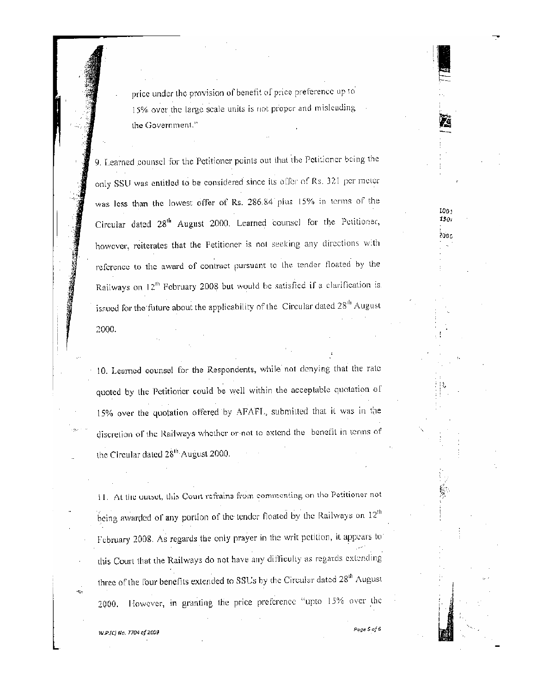price under the provision of benefit of price preference up to 15% over the large scale units is not proper and misleading the Government."

9. Learned counsel for the Petitioner points out that the Petitioner being the only SSU was entitled to be considered since its offer of Rs. 321 per meter was less than the lowest offer of Rs. 286.84 plus 15% in terms of the Circular dated 28<sup>th</sup> August 2000. Learned counsel for the Petitioner, however, reiterates that the Petitioner is not seeking any directions with reference to the award of contract pursuant to the tender floated by the Railways on 12<sup>th</sup> February 2008 but would be satisfied if a clarification is. issued for the future about the applicability of the Circular dated 28<sup>th</sup> August 2000.

10. Learned counsel for the Respondents, while not denying that the rate quoted by the Petitioner could be well within the acceptable quotation of 15% over the quotation offered by AFAFL, submitted that it was in the discretion of the Railways whether or not to extend the benefit in terms of the Circular dated 28<sup>th</sup> August 2000.

11. At the outset, this Court refrains from commenting on the Petitioner not being awarded of any portion of the tender floated by the Railways on 12<sup>th</sup> February 2008. As regards the only prayer in the writ petition, it appears to this Court that the Railways do not have any difficulty as regards extending three of the four benefits extended to SSUs by the Circular dated 28<sup>th</sup> August 2000. However, in granting the price preference "upto 15% over the

W.P.(C) No. 7704 of 2009

 $\bar{z}_0$ 

**のことのことに、このことに、このことに、このことに、このことに、このことに、このことに、このことに、このことに、このことに、このことに、このことに、このことに、このことに、このことに、このことに、このことに、このことに、このことに、このことに、このことに、このことに、このことに、このことに、このことに、このことに、このことに、このことに、このことに、このことに、この** 

 $100<sub>1</sub>$ 

 $130.$ 

2005